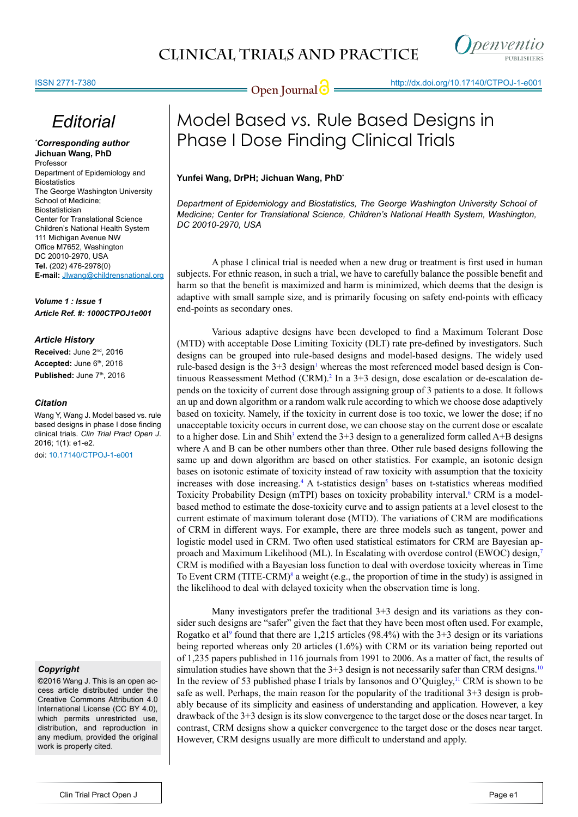



# *Editorial*

# *\* Corresponding author* **Jichuan Wang, PhD**

Professor Department of Epidemiology and **Biostatistics** The George Washington University School of Medicine; Biostatistician Center for Translational Science Children's National Health System 111 Michigan Avenue NW Office M7652, Washington DC 20010-2970, USA **Tel.** (202) 476-2978(0) **E-mail:** JIwang@childrensnational.org

*Volume 1 : Issue 1 Article Ref. #: 1000CTPOJ1e001*

### *Article History*

Received: June 2<sup>nd</sup>, 2016 Accepted: June 6<sup>th</sup>, 2016 Published: June 7<sup>th</sup>, 2016

### *Citation*

Wang Y, Wang J. Model based vs. rule based designs in phase I dose finding clinical trials. *Clin Trial Pract Open J*. 2016; 1(1): e1-e2. doi: [10.17140/CTPOJ-1-e001](http://dx.doi.org/10.17140/CTPOJ-1-e001)

## *Copyright*

©2016 Wang J. This is an open access article distributed under the Creative Commons Attribution 4.0 International License (CC BY 4.0), which permits unrestricted use. distribution, and reproduction in any medium, provided the original work is properly cited.

# Model Based *vs.* Rule Based Designs in Phase I Dose Finding Clinical Trials

## **Yunfei Wang, DrPH; Jichuan Wang, PhD\***

*Department of Epidemiology and Biostatistics, The George Washington University School of Medicine; Center for Translational Science, Children's National Health System, Washington, DC 20010-2970, USA*

 A phase I clinical trial is needed when a new drug or treatment is first used in human subjects. For ethnic reason, in such a trial, we have to carefully balance the possible benefit and harm so that the benefit is maximized and harm is minimized, which deems that the design is adaptive with small sample size, and is primarily focusing on safety end-points with efficacy end-points as secondary ones.

 Various adaptive designs have been developed to find a Maximum Tolerant Dose (MTD) with acceptable Dose Limiting Toxicity (DLT) rate pre-defined by investigators. Such designs can be grouped into rule-based designs and model-based designs. The widely used rule-based design is the 3+3 design<sup>[1](#page-1-0)</sup> whereas the most referenced model based design is Continuous Reassessment Method  $(CRM)$ .<sup>[2](#page-1-1)</sup> In a  $3+3$  design, dose escalation or de-escalation depends on the toxicity of current dose through assigning group of 3 patients to a dose. It follows an up and down algorithm or a random walk rule according to which we choose dose adaptively based on toxicity. Namely, if the toxicity in current dose is too toxic, we lower the dose; if no unacceptable toxicity occurs in current dose, we can choose stay on the current dose or escalate to a higher dose. Lin and Shih<sup>[3](#page-1-2)</sup> extend the  $3+3$  design to a generalized form called  $A+B$  designs where A and B can be other numbers other than three. Other rule based designs following the same up and down algorithm are based on other statistics. For example, an isotonic design bases on isotonic estimate of toxicity instead of raw toxicity with assumption that the toxicity increases with dose increasing.<sup>[4](#page-1-3)</sup> A t-statistics design<sup>[5](#page-1-4)</sup> bases on t-statistics whereas modified Toxicity Probability Design (mTPI) bases on toxicity probability interval.[6](#page-1-5) CRM is a modelbased method to estimate the dose-toxicity curve and to assign patients at a level closest to the current estimate of maximum tolerant dose (MTD). The variations of CRM are modifications of CRM in different ways. For example, there are three models such as tangent, power and logistic model used in CRM. Two often used statistical estimators for CRM are Bayesian approach and Maximum Likelihood (ML). In Escalating with overdose control (EWOC) design,[7](#page-1-6) CRM is modified with a Bayesian loss function to deal with overdose toxicity whereas in Time To Event CRM (TITE-CRM)<sup>[8](#page-1-7)</sup> a weight (e.g., the proportion of time in the study) is assigned in the likelihood to deal with delayed toxicity when the observation time is long.

 Many investigators prefer the traditional 3+3 design and its variations as they consider such designs are "safer" given the fact that they have been most often used. For example, Rogatko et al<sup>[9](#page-1-8)</sup> found that there are 1,215 articles (98.4%) with the  $3+3$  design or its variations being reported whereas only 20 articles (1.6%) with CRM or its variation being reported out of 1,235 papers published in 116 journals from 1991 to 2006. As a matter of fact, the results of simulation studies have shown that the  $3+3$  design is not necessarily safer than CRM designs.<sup>[10](#page-1-9)</sup> In the review of 53 published phase I trials by Iansonos and O'Quigley,<sup>[11](#page-1-10)</sup> CRM is shown to be safe as well. Perhaps, the main reason for the popularity of the traditional 3+3 design is probably because of its simplicity and easiness of understanding and application. However, a key drawback of the 3+3 design is its slow convergence to the target dose or the doses near target. In contrast, CRM designs show a quicker convergence to the target dose or the doses near target. However, CRM designs usually are more difficult to understand and apply.